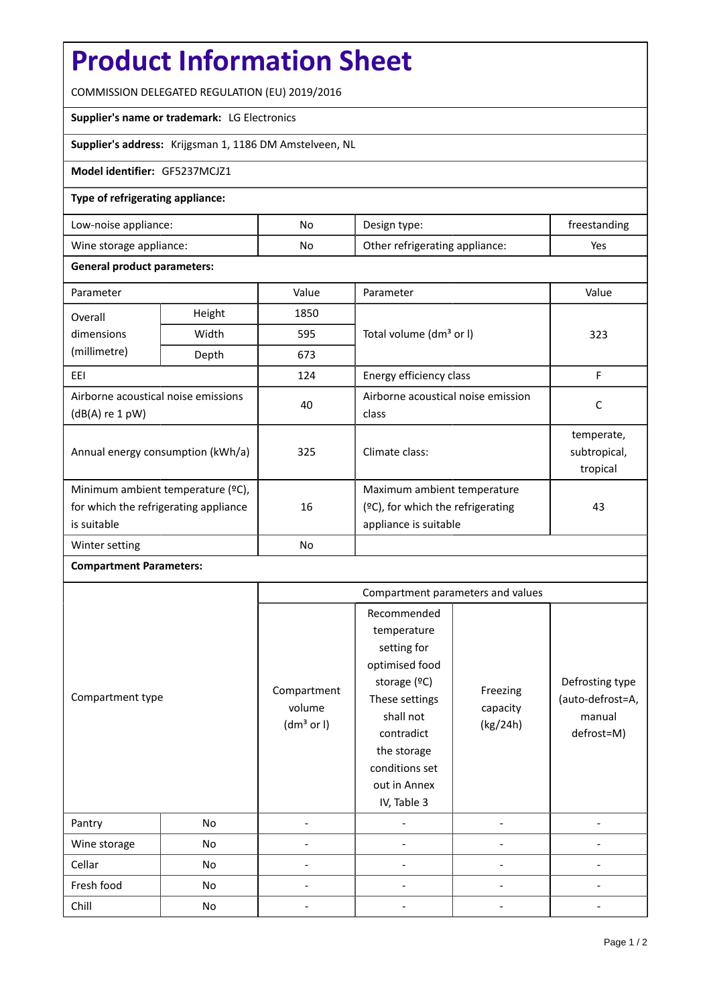# **Product Information Sheet**

COMMISSION DELEGATED REGULATION (EU) 2019/2016

## **Supplier's name or trademark:** LG Electronics

**Supplier's address:** Krijgsman 1, 1186 DM Amstelveen, NL

#### **Model identifier:** GF5237MCJZ1

#### **Type of refrigerating appliance:**

| Low-noise appliance:    | No | Design type:                   | freestanding |
|-------------------------|----|--------------------------------|--------------|
| Wine storage appliance: | No | Other refrigerating appliance: | Yes          |

### **General product parameters:**

| Parameter                                                                                 |        | Value     | Parameter                                                                                 | Value                                  |
|-------------------------------------------------------------------------------------------|--------|-----------|-------------------------------------------------------------------------------------------|----------------------------------------|
| Overall                                                                                   | Height | 1850      |                                                                                           |                                        |
| dimensions<br>(millimetre)                                                                | Width  | 595       | Total volume (dm <sup>3</sup> or I)                                                       | 323                                    |
|                                                                                           | Depth  | 673       |                                                                                           |                                        |
| EEI                                                                                       |        | 124       | Energy efficiency class                                                                   | F                                      |
| Airborne acoustical noise emissions<br>$(dB(A)$ re 1 pW)                                  |        | 40        | Airborne acoustical noise emission<br>class                                               | C                                      |
| Annual energy consumption (kWh/a)                                                         |        | 325       | Climate class:                                                                            | temperate,<br>subtropical,<br>tropical |
| Minimum ambient temperature (°C),<br>for which the refrigerating appliance<br>is suitable |        | 16        | Maximum ambient temperature<br>(ºC), for which the refrigerating<br>appliance is suitable | 43                                     |
| Winter setting                                                                            |        | <b>No</b> |                                                                                           |                                        |

## **Compartment Parameters:**

|                  |    | Compartment parameters and values               |                                                                                                                                                                                          |                                  |                                                             |
|------------------|----|-------------------------------------------------|------------------------------------------------------------------------------------------------------------------------------------------------------------------------------------------|----------------------------------|-------------------------------------------------------------|
| Compartment type |    | Compartment<br>volume<br>(dm <sup>3</sup> or I) | Recommended<br>temperature<br>setting for<br>optimised food<br>storage (°C)<br>These settings<br>shall not<br>contradict<br>the storage<br>conditions set<br>out in Annex<br>IV, Table 3 | Freezing<br>capacity<br>(kg/24h) | Defrosting type<br>(auto-defrost=A,<br>manual<br>defrost=M) |
| Pantry           | No |                                                 |                                                                                                                                                                                          |                                  |                                                             |
| Wine storage     | No |                                                 |                                                                                                                                                                                          |                                  |                                                             |
| Cellar           | No |                                                 |                                                                                                                                                                                          |                                  |                                                             |
| Fresh food       | No |                                                 |                                                                                                                                                                                          |                                  |                                                             |
| Chill            | No |                                                 |                                                                                                                                                                                          |                                  |                                                             |